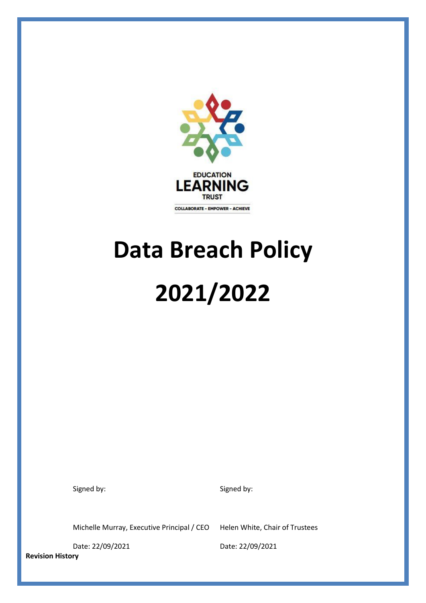

# **Data Breach Policy 2021/2022**

Signed by: Signed by: Signed by:

Michelle Murray, Executive Principal / CEO Helen White, Chair of Trustees

**Revision History**

Date: 22/09/2021 Date: 22/09/2021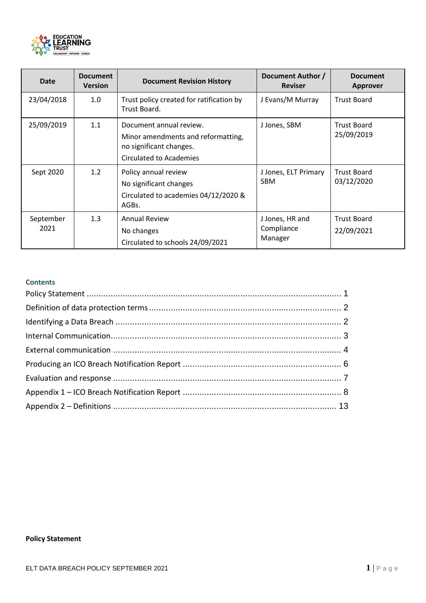

| <b>Date</b>       | <b>Document</b><br><b>Version</b> | <b>Document Revision History</b>                                                                                    | Document Author /<br><b>Reviser</b>      | <b>Document</b><br><b>Approver</b> |
|-------------------|-----------------------------------|---------------------------------------------------------------------------------------------------------------------|------------------------------------------|------------------------------------|
| 23/04/2018        | 1.0                               | Trust policy created for ratification by<br>Trust Board.                                                            | J Evans/M Murray                         | <b>Trust Board</b>                 |
| 25/09/2019        | 1.1                               | Document annual review.<br>Minor amendments and reformatting,<br>no significant changes.<br>Circulated to Academies | J Jones, SBM                             | <b>Trust Board</b><br>25/09/2019   |
| Sept 2020         | 1.2                               | Policy annual review<br>No significant changes<br>Circulated to academies 04/12/2020 &<br>AGBs.                     | J Jones, ELT Primary<br><b>SBM</b>       | <b>Trust Board</b><br>03/12/2020   |
| September<br>2021 | 1.3                               | <b>Annual Review</b><br>No changes<br>Circulated to schools 24/09/2021                                              | J Jones, HR and<br>Compliance<br>Manager | <b>Trust Board</b><br>22/09/2021   |

# **Contents**

# <span id="page-1-0"></span>**Policy Statement**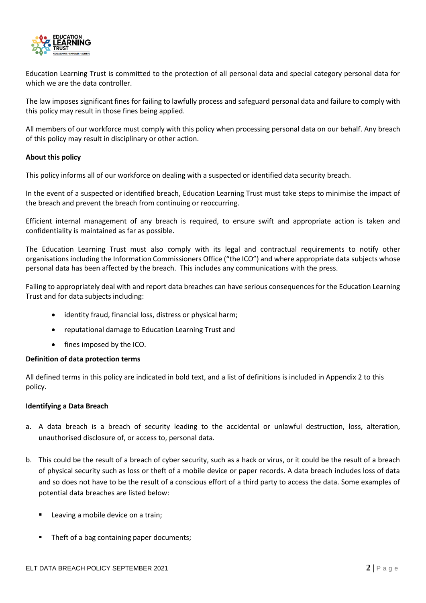

Education Learning Trust is committed to the protection of all personal data and special category personal data for which we are the data controller.

The law imposes significant fines for failing to lawfully process and safeguard personal data and failure to comply with this policy may result in those fines being applied.

All members of our workforce must comply with this policy when processing personal data on our behalf. Any breach of this policy may result in disciplinary or other action.

#### **About this policy**

This policy informs all of our workforce on dealing with a suspected or identified data security breach.

In the event of a suspected or identified breach, Education Learning Trust must take steps to minimise the impact of the breach and prevent the breach from continuing or reoccurring.

Efficient internal management of any breach is required, to ensure swift and appropriate action is taken and confidentiality is maintained as far as possible.

The Education Learning Trust must also comply with its legal and contractual requirements to notify other organisations including the Information Commissioners Office ("the ICO") and where appropriate data subjects whose personal data has been affected by the breach. This includes any communications with the press.

Failing to appropriately deal with and report data breaches can have serious consequences for the Education Learning Trust and for data subjects including:

- identity fraud, financial loss, distress or physical harm;
- reputational damage to Education Learning Trust and
- fines imposed by the ICO.

## <span id="page-2-0"></span>**Definition of data protection terms**

All defined terms in this policy are indicated in bold text, and a list of definitions is included in Appendix 2 to this policy.

## <span id="page-2-1"></span>**Identifying a Data Breach**

- a. A data breach is a breach of security leading to the accidental or unlawful destruction, loss, alteration, unauthorised disclosure of, or access to, personal data.
- b. This could be the result of a breach of cyber security, such as a hack or virus, or it could be the result of a breach of physical security such as loss or theft of a mobile device or paper records. A data breach includes loss of data and so does not have to be the result of a conscious effort of a third party to access the data. Some examples of potential data breaches are listed below:
	- Leaving a mobile device on a train;
	- Theft of a bag containing paper documents: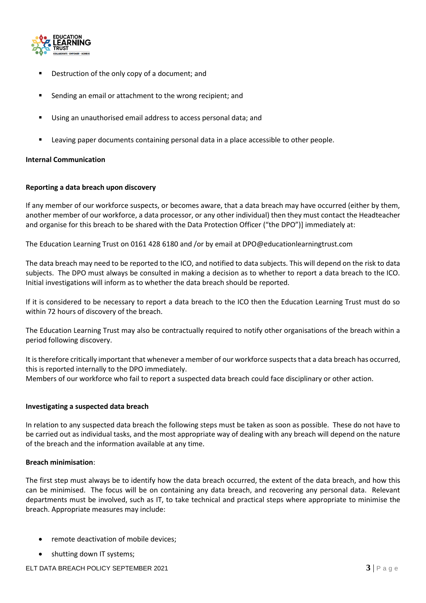

- Destruction of the only copy of a document; and
- Sending an email or attachment to the wrong recipient; and
- Using an unauthorised email address to access personal data; and
- Leaving paper documents containing personal data in a place accessible to other people.

## <span id="page-3-0"></span>**Internal Communication**

## **Reporting a data breach upon discovery**

If any member of our workforce suspects, or becomes aware, that a data breach may have occurred (either by them, another member of our workforce, a data processor, or any other individual) then they must contact the Headteacher and organise for this breach to be shared with the Data Protection Officer ("the DPO")] immediately at:

The Education Learning Trust on 0161 428 6180 and /or by email at DPO@educationlearningtrust.com

The data breach may need to be reported to the ICO, and notified to data subjects. This will depend on the risk to data subjects. The DPO must always be consulted in making a decision as to whether to report a data breach to the ICO. Initial investigations will inform as to whether the data breach should be reported.

If it is considered to be necessary to report a data breach to the ICO then the Education Learning Trust must do so within 72 hours of discovery of the breach.

The Education Learning Trust may also be contractually required to notify other organisations of the breach within a period following discovery.

It is therefore critically important that whenever a member of our workforce suspects that a data breach has occurred, this is reported internally to the DPO immediately. Members of our workforce who fail to report a suspected data breach could face disciplinary or other action.

## **Investigating a suspected data breach**

In relation to any suspected data breach the following steps must be taken as soon as possible. These do not have to be carried out as individual tasks, and the most appropriate way of dealing with any breach will depend on the nature of the breach and the information available at any time.

## **Breach minimisation**:

The first step must always be to identify how the data breach occurred, the extent of the data breach, and how this can be minimised. The focus will be on containing any data breach, and recovering any personal data. Relevant departments must be involved, such as IT, to take technical and practical steps where appropriate to minimise the breach. Appropriate measures may include:

- remote deactivation of mobile devices;
- shutting down IT systems;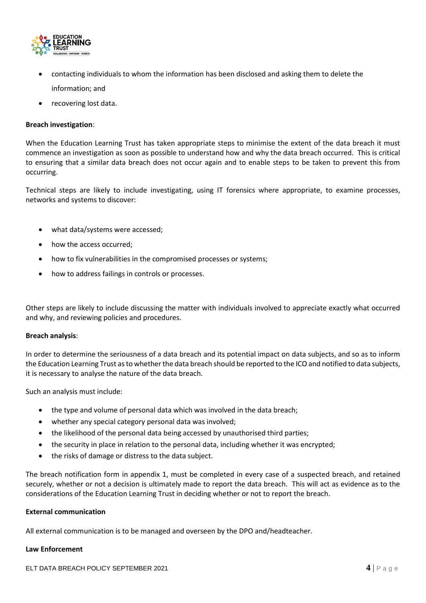

- contacting individuals to whom the information has been disclosed and asking them to delete the information; and
- recovering lost data.

## **Breach investigation**:

When the Education Learning Trust has taken appropriate steps to minimise the extent of the data breach it must commence an investigation as soon as possible to understand how and why the data breach occurred. This is critical to ensuring that a similar data breach does not occur again and to enable steps to be taken to prevent this from occurring.

Technical steps are likely to include investigating, using IT forensics where appropriate, to examine processes, networks and systems to discover:

- what data/systems were accessed;
- how the access occurred;
- how to fix vulnerabilities in the compromised processes or systems;
- how to address failings in controls or processes.

Other steps are likely to include discussing the matter with individuals involved to appreciate exactly what occurred and why, and reviewing policies and procedures.

## **Breach analysis**:

In order to determine the seriousness of a data breach and its potential impact on data subjects, and so as to inform the Education Learning Trust as to whether the data breach should be reported to the ICO and notified to data subjects, it is necessary to analyse the nature of the data breach.

Such an analysis must include:

- the type and volume of personal data which was involved in the data breach;
- whether any special category personal data was involved;
- the likelihood of the personal data being accessed by unauthorised third parties;
- the security in place in relation to the personal data, including whether it was encrypted;
- the risks of damage or distress to the data subject.

The breach notification form in appendix 1, must be completed in every case of a suspected breach, and retained securely, whether or not a decision is ultimately made to report the data breach. This will act as evidence as to the considerations of the Education Learning Trust in deciding whether or not to report the breach.

## <span id="page-4-0"></span>**External communication**

All external communication is to be managed and overseen by the DPO and/headteacher.

#### **Law Enforcement**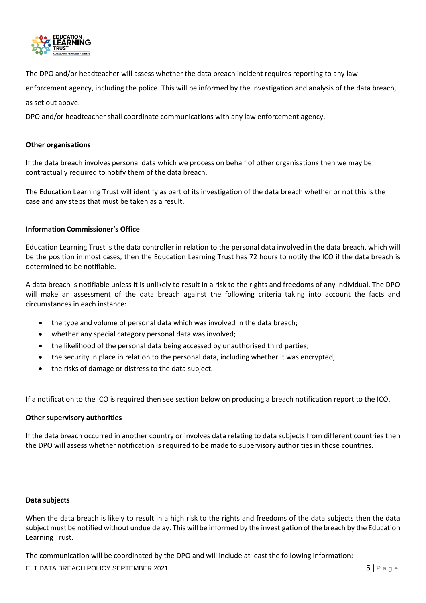

The DPO and/or headteacher will assess whether the data breach incident requires reporting to any law

enforcement agency, including the police. This will be informed by the investigation and analysis of the data breach,

as set out above.

DPO and/or headteacher shall coordinate communications with any law enforcement agency.

## **Other organisations**

If the data breach involves personal data which we process on behalf of other organisations then we may be contractually required to notify them of the data breach.

The Education Learning Trust will identify as part of its investigation of the data breach whether or not this is the case and any steps that must be taken as a result.

## **Information Commissioner's Office**

Education Learning Trust is the data controller in relation to the personal data involved in the data breach, which will be the position in most cases, then the Education Learning Trust has 72 hours to notify the ICO if the data breach is determined to be notifiable.

A data breach is notifiable unless it is unlikely to result in a risk to the rights and freedoms of any individual. The DPO will make an assessment of the data breach against the following criteria taking into account the facts and circumstances in each instance:

- the type and volume of personal data which was involved in the data breach;
- whether any special category personal data was involved;
- the likelihood of the personal data being accessed by unauthorised third parties;
- the security in place in relation to the personal data, including whether it was encrypted;
- the risks of damage or distress to the data subject.

If a notification to the ICO is required then see section below on producing a breach notification report to the ICO.

## **Other supervisory authorities**

If the data breach occurred in another country or involves data relating to data subjects from different countries then the DPO will assess whether notification is required to be made to supervisory authorities in those countries.

#### **Data subjects**

When the data breach is likely to result in a high risk to the rights and freedoms of the data subjects then the data subject must be notified without undue delay. This will be informed by the investigation of the breach by the Education Learning Trust.

The communication will be coordinated by the DPO and will include at least the following information:

**ELT DATA BREACH POLICY SEPTEMBER 2021 5** | P a g e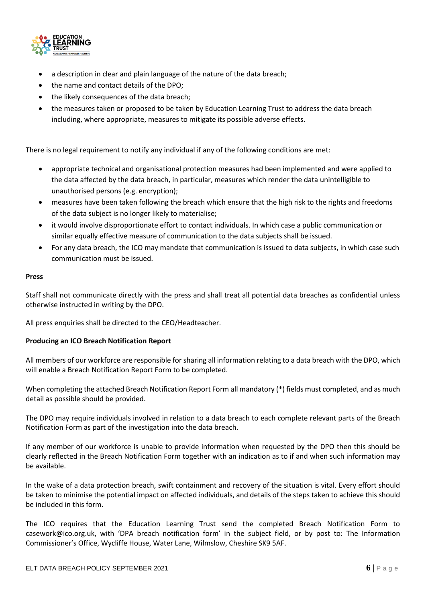

- a description in clear and plain language of the nature of the data breach;
- the name and contact details of the DPO;
- the likely consequences of the data breach;
- the measures taken or proposed to be taken by Education Learning Trust to address the data breach including, where appropriate, measures to mitigate its possible adverse effects.

There is no legal requirement to notify any individual if any of the following conditions are met:

- appropriate technical and organisational protection measures had been implemented and were applied to the data affected by the data breach, in particular, measures which render the data unintelligible to unauthorised persons (e.g. encryption);
- measures have been taken following the breach which ensure that the high risk to the rights and freedoms of the data subject is no longer likely to materialise;
- it would involve disproportionate effort to contact individuals. In which case a public communication or similar equally effective measure of communication to the data subjects shall be issued.
- For any data breach, the ICO may mandate that communication is issued to data subjects, in which case such communication must be issued.

## **Press**

Staff shall not communicate directly with the press and shall treat all potential data breaches as confidential unless otherwise instructed in writing by the DPO.

All press enquiries shall be directed to the CEO/Headteacher.

## <span id="page-6-0"></span>**Producing an ICO Breach Notification Report**

All members of our workforce are responsible for sharing all information relating to a data breach with the DPO, which will enable a Breach Notification Report Form to be completed.

When completing the attached Breach Notification Report Form all mandatory (\*) fields must completed, and as much detail as possible should be provided.

The DPO may require individuals involved in relation to a data breach to each complete relevant parts of the Breach Notification Form as part of the investigation into the data breach.

If any member of our workforce is unable to provide information when requested by the DPO then this should be clearly reflected in the Breach Notification Form together with an indication as to if and when such information may be available.

In the wake of a data protection breach, swift containment and recovery of the situation is vital. Every effort should be taken to minimise the potential impact on affected individuals, and details of the steps taken to achieve this should be included in this form.

The ICO requires that the Education Learning Trust send the completed Breach Notification Form to casework@ico.org.uk, with 'DPA breach notification form' in the subject field, or by post to: The Information Commissioner's Office, Wycliffe House, Water Lane, Wilmslow, Cheshire SK9 5AF.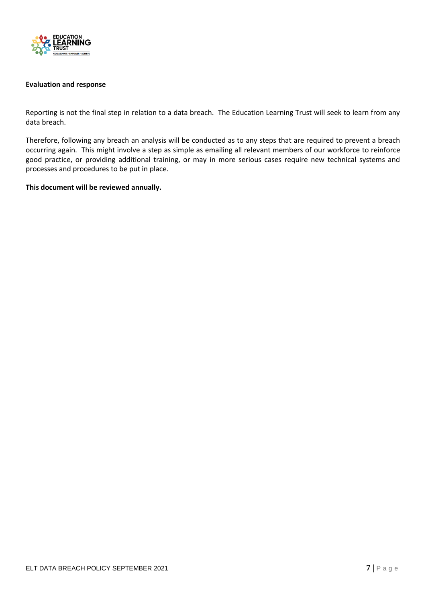

## <span id="page-7-0"></span>**Evaluation and response**

Reporting is not the final step in relation to a data breach. The Education Learning Trust will seek to learn from any data breach.

Therefore, following any breach an analysis will be conducted as to any steps that are required to prevent a breach occurring again. This might involve a step as simple as emailing all relevant members of our workforce to reinforce good practice, or providing additional training, or may in more serious cases require new technical systems and processes and procedures to be put in place.

#### **This document will be reviewed annually.**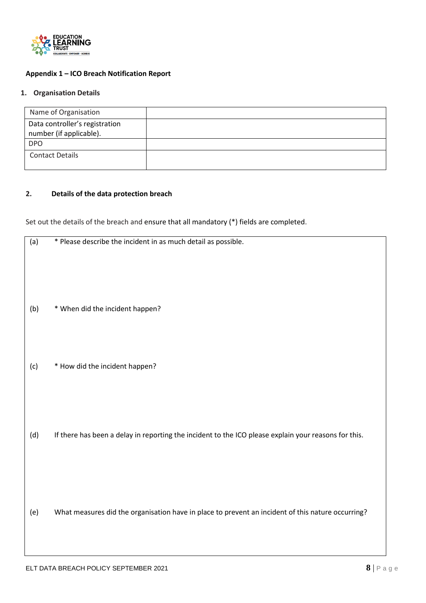

# <span id="page-8-0"></span>**Appendix 1 – ICO Breach Notification Report**

# **1. Organisation Details**

| Name of Organisation           |  |
|--------------------------------|--|
| Data controller's registration |  |
| number (if applicable).        |  |
| <b>DPO</b>                     |  |
| <b>Contact Details</b>         |  |
|                                |  |

## **2. Details of the data protection breach**

Set out the details of the breach and ensure that all mandatory (\*) fields are completed.

| (a) | * Please describe the incident in as much detail as possible.                                        |
|-----|------------------------------------------------------------------------------------------------------|
|     |                                                                                                      |
| (b) | * When did the incident happen?                                                                      |
|     |                                                                                                      |
| (c) | * How did the incident happen?                                                                       |
|     |                                                                                                      |
| (d) | If there has been a delay in reporting the incident to the ICO please explain your reasons for this. |
|     |                                                                                                      |
|     |                                                                                                      |
| (e) | What measures did the organisation have in place to prevent an incident of this nature occurring?    |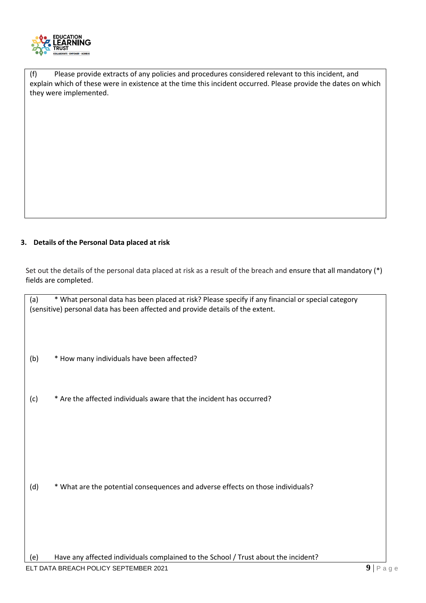

(f) Please provide extracts of any policies and procedures considered relevant to this incident, and explain which of these were in existence at the time this incident occurred. Please provide the dates on which they were implemented.

# **3. Details of the Personal Data placed at risk**

Set out the details of the personal data placed at risk as a result of the breach and ensure that all mandatory (\*) fields are completed.

(a) \* What personal data has been placed at risk? Please specify if any financial or special category (sensitive) personal data has been affected and provide details of the extent.

(b) \* How many individuals have been affected?

(c) \* Are the affected individuals aware that the incident has occurred?

(d) \* What are the potential consequences and adverse effects on those individuals?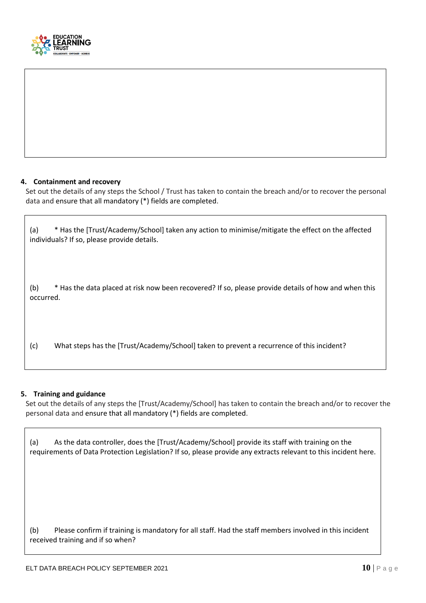

## **4. Containment and recovery**

Set out the details of any steps the School / Trust has taken to contain the breach and/or to recover the personal data and ensure that all mandatory (\*) fields are completed.

| (a)              | * Has the [Trust/Academy/School] taken any action to minimise/mitigate the effect on the affected<br>individuals? If so, please provide details. |
|------------------|--------------------------------------------------------------------------------------------------------------------------------------------------|
| (b)<br>occurred. | * Has the data placed at risk now been recovered? If so, please provide details of how and when this                                             |
| (c)              | What steps has the [Trust/Academy/School] taken to prevent a recurrence of this incident?                                                        |

## **5. Training and guidance**

Set out the details of any steps the [Trust/Academy/School] has taken to contain the breach and/or to recover the personal data and ensure that all mandatory (\*) fields are completed.

| As the data controller, does the [Trust/Academy/School] provide its staff with training on the<br>(a)<br>requirements of Data Protection Legislation? If so, please provide any extracts relevant to this incident here. |
|--------------------------------------------------------------------------------------------------------------------------------------------------------------------------------------------------------------------------|
| (b)<br>Please confirm if training is mandatory for all staff. Had the staff members involved in this incident<br>received training and if so when?                                                                       |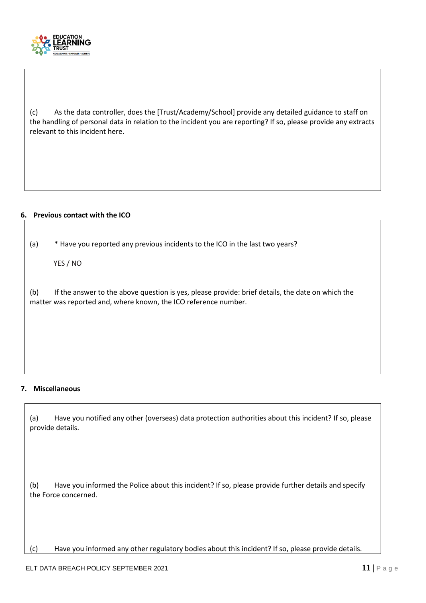

(c) As the data controller, does the [Trust/Academy/School] provide any detailed guidance to staff on the handling of personal data in relation to the incident you are reporting? If so, please provide any extracts relevant to this incident here.

## **6. Previous contact with the ICO**

(a) \* Have you reported any previous incidents to the ICO in the last two years?

YES / NO

(b) If the answer to the above question is yes, please provide: brief details, the date on which the matter was reported and, where known, the ICO reference number.

## **7. Miscellaneous**

(a) Have you notified any other (overseas) data protection authorities about this incident? If so, please provide details.

(b) Have you informed the Police about this incident? If so, please provide further details and specify the Force concerned.

(c) Have you informed any other regulatory bodies about this incident? If so, please provide details.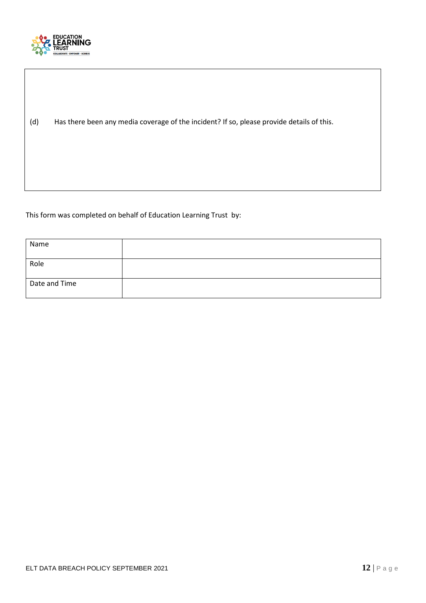

(d) Has there been any media coverage of the incident? If so, please provide details of this.

This form was completed on behalf of Education Learning Trust by:

| Name          |  |
|---------------|--|
| Role          |  |
| Date and Time |  |